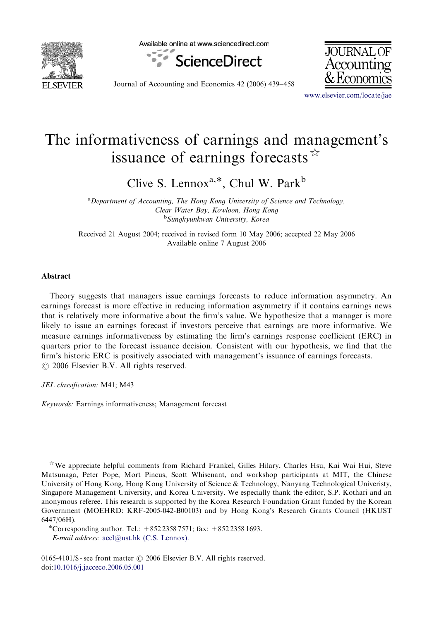

Available online at www.sciencedirect.com





Journal of Accounting and Economics 42 (2006) 439–458

<www.elsevier.com/locate/jae>

# The informativeness of earnings and management's issuance of earnings forecasts  $\overline{X}$

Clive S. Lennox<sup>a,\*</sup>, Chul W. Park<sup>b</sup>

<sup>a</sup>Department of Accounting, The Hong Kong University of Science and Technology, Clear Water Bay, Kowloon, Hong Kong <sup>b</sup>Sungkyunkwan University, Korea

Received 21 August 2004; received in revised form 10 May 2006; accepted 22 May 2006 Available online 7 August 2006

#### Abstract

Theory suggests that managers issue earnings forecasts to reduce information asymmetry. An earnings forecast is more effective in reducing information asymmetry if it contains earnings news that is relatively more informative about the firm's value. We hypothesize that a manager is more likely to issue an earnings forecast if investors perceive that earnings are more informative. We measure earnings informativeness by estimating the firm's earnings response coefficient (ERC) in quarters prior to the forecast issuance decision. Consistent with our hypothesis, we find that the firm's historic ERC is positively associated with management's issuance of earnings forecasts.  $\odot$  2006 Elsevier B.V. All rights reserved.

JEL classification: M41; M43

Keywords: Earnings informativeness; Management forecast

 $*$  We appreciate helpful comments from Richard Frankel, Gilles Hilary, Charles Hsu, Kai Wai Hui, Steve Matsunaga, Peter Pope, Mort Pincus, Scott Whisenant, and workshop participants at MIT, the Chinese University of Hong Kong, Hong Kong University of Science & Technology, Nanyang Technological Univeristy, Singapore Management University, and Korea University. We especially thank the editor, S.P. Kothari and an anonymous referee. This research is supported by the Korea Research Foundation Grant funded by the Korean Government (MOEHRD: KRF-2005-042-B00103) and by Hong Kong's Research Grants Council (HKUST 6447/06H).<br>
\*Corresponding author. Tel.:  $+852\,2358\,7571$ ; fax:  $+852\,2358\,1693$ .

E-mail address: [accl@ust.hk \(C.S. Lennox\).](mailto:accl@ust.hk)

<sup>0165-4101/\$ -</sup> see front matter  $\odot$  2006 Elsevier B.V. All rights reserved. doi[:10.1016/j.jacceco.2006.05.001](dx.doi.org/10.1016/j.jacceco.2006.05.001)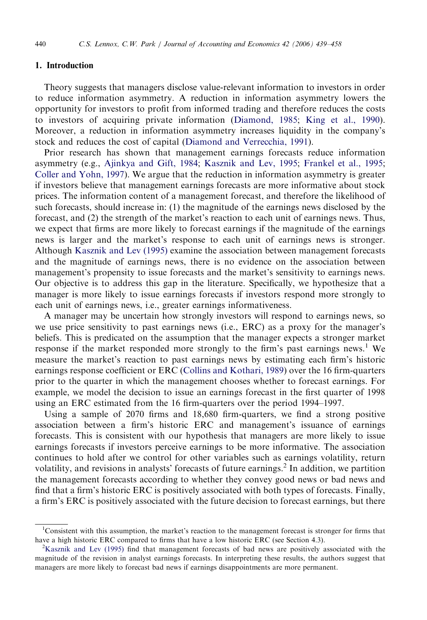# 1. Introduction

Theory suggests that managers disclose value-relevant information to investors in order to reduce information asymmetry. A reduction in information asymmetry lowers the opportunity for investors to profit from informed trading and therefore reduces the costs to investors of acquiring private information [\(Diamond, 1985](#page-18-0); [King et al., 1990](#page-18-0)). Moreover, a reduction in information asymmetry increases liquidity in the company's stock and reduces the cost of capital ([Diamond and Verrecchia, 1991\)](#page-18-0).

Prior research has shown that management earnings forecasts reduce information asymmetry (e.g., [Ajinkya and Gift, 1984;](#page-18-0) [Kasznik and Lev, 1995](#page-18-0); [Frankel et al., 1995;](#page-18-0) [Coller and Yohn, 1997](#page-18-0)). We argue that the reduction in information asymmetry is greater if investors believe that management earnings forecasts are more informative about stock prices. The information content of a management forecast, and therefore the likelihood of such forecasts, should increase in: (1) the magnitude of the earnings news disclosed by the forecast, and (2) the strength of the market's reaction to each unit of earnings news. Thus, we expect that firms are more likely to forecast earnings if the magnitude of the earnings news is larger and the market's response to each unit of earnings news is stronger. Although [Kasznik and Lev \(1995\)](#page-18-0) examine the association between management forecasts and the magnitude of earnings news, there is no evidence on the association between management's propensity to issue forecasts and the market's sensitivity to earnings news. Our objective is to address this gap in the literature. Specifically, we hypothesize that a manager is more likely to issue earnings forecasts if investors respond more strongly to each unit of earnings news, i.e., greater earnings informativeness.

A manager may be uncertain how strongly investors will respond to earnings news, so we use price sensitivity to past earnings news (i.e., ERC) as a proxy for the manager's beliefs. This is predicated on the assumption that the manager expects a stronger market response if the market responded more strongly to the firm's past earnings news.<sup>1</sup> We measure the market's reaction to past earnings news by estimating each firm's historic earnings response coefficient or ERC ([Collins and Kothari, 1989](#page-18-0)) over the 16 firm-quarters prior to the quarter in which the management chooses whether to forecast earnings. For example, we model the decision to issue an earnings forecast in the first quarter of 1998 using an ERC estimated from the 16 firm-quarters over the period 1994–1997.

Using a sample of 2070 firms and 18,680 firm-quarters, we find a strong positive association between a firm's historic ERC and management's issuance of earnings forecasts. This is consistent with our hypothesis that managers are more likely to issue earnings forecasts if investors perceive earnings to be more informative. The association continues to hold after we control for other variables such as earnings volatility, return volatility, and revisions in analysts' forecasts of future earnings.<sup>2</sup> In addition, we partition the management forecasts according to whether they convey good news or bad news and find that a firm's historic ERC is positively associated with both types of forecasts. Finally, a firm's ERC is positively associated with the future decision to forecast earnings, but there

<sup>&</sup>lt;sup>1</sup>Consistent with this assumption, the market's reaction to the management forecast is stronger for firms that have a high historic ERC compared to firms that have a low historic ERC (see Section 4.3).

 $K<sup>2</sup>Kasznik$  and Lev (1995) find that management forecasts of bad news are positively associated with the magnitude of the revision in analyst earnings forecasts. In interpreting these results, the authors suggest that managers are more likely to forecast bad news if earnings disappointments are more permanent.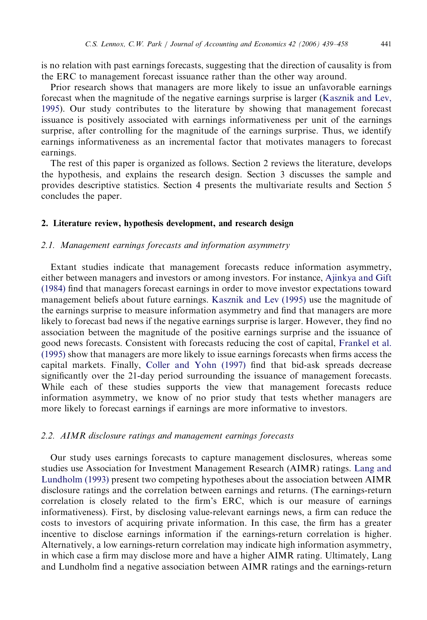is no relation with past earnings forecasts, suggesting that the direction of causality is from the ERC to management forecast issuance rather than the other way around.

Prior research shows that managers are more likely to issue an unfavorable earnings forecast when the magnitude of the negative earnings surprise is larger ([Kasznik and Lev,](#page-18-0) [1995](#page-18-0)). Our study contributes to the literature by showing that management forecast issuance is positively associated with earnings informativeness per unit of the earnings surprise, after controlling for the magnitude of the earnings surprise. Thus, we identify earnings informativeness as an incremental factor that motivates managers to forecast earnings.

The rest of this paper is organized as follows. Section 2 reviews the literature, develops the hypothesis, and explains the research design. Section 3 discusses the sample and provides descriptive statistics. Section 4 presents the multivariate results and Section 5 concludes the paper.

#### 2. Literature review, hypothesis development, and research design

# 2.1. Management earnings forecasts and information asymmetry

Extant studies indicate that management forecasts reduce information asymmetry, either between managers and investors or among investors. For instance, [Ajinkya and Gift](#page-18-0) [\(1984\)](#page-18-0) find that managers forecast earnings in order to move investor expectations toward management beliefs about future earnings. [Kasznik and Lev \(1995\)](#page-18-0) use the magnitude of the earnings surprise to measure information asymmetry and find that managers are more likely to forecast bad news if the negative earnings surprise is larger. However, they find no association between the magnitude of the positive earnings surprise and the issuance of good news forecasts. Consistent with forecasts reducing the cost of capital, [Frankel et al.](#page-18-0) [\(1995\)](#page-18-0) show that managers are more likely to issue earnings forecasts when firms access the capital markets. Finally, [Coller and Yohn \(1997\)](#page-18-0) find that bid-ask spreads decrease significantly over the 21-day period surrounding the issuance of management forecasts. While each of these studies supports the view that management forecasts reduce information asymmetry, we know of no prior study that tests whether managers are more likely to forecast earnings if earnings are more informative to investors.

#### 2.2. AIMR disclosure ratings and management earnings forecasts

Our study uses earnings forecasts to capture management disclosures, whereas some studies use Association for Investment Management Research (AIMR) ratings. [Lang and](#page-18-0) [Lundholm \(1993\)](#page-18-0) present two competing hypotheses about the association between AIMR disclosure ratings and the correlation between earnings and returns. (The earnings-return correlation is closely related to the firm's ERC, which is our measure of earnings informativeness). First, by disclosing value-relevant earnings news, a firm can reduce the costs to investors of acquiring private information. In this case, the firm has a greater incentive to disclose earnings information if the earnings-return correlation is higher. Alternatively, a low earnings-return correlation may indicate high information asymmetry, in which case a firm may disclose more and have a higher AIMR rating. Ultimately, Lang and Lundholm find a negative association between AIMR ratings and the earnings-return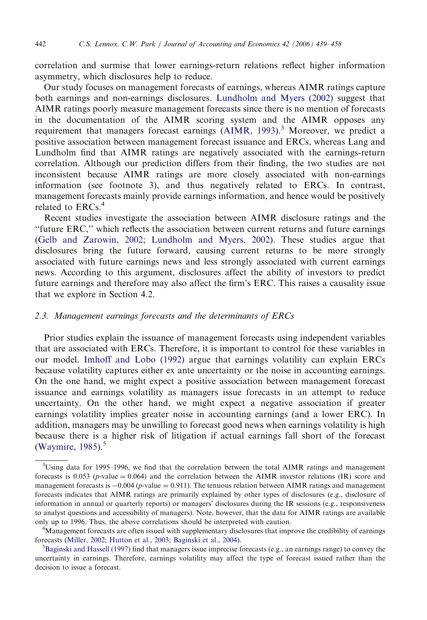correlation and surmise that lower earnings-return relations reflect higher information asymmetry, which disclosures help to reduce.

Our study focuses on management forecasts of earnings, whereas AIMR ratings capture both earnings and non-earnings disclosures. [Lundholm and Myers \(2002\)](#page-18-0) suggest that AIMR ratings poorly measure management forecasts since there is no mention of forecasts in the documentation of the AIMR scoring system and the AIMR opposes any requirement that managers forecast earnings  $(AIMR, 1993)$ .<sup>3</sup> Moreover, we predict a positive association between management forecast issuance and ERCs, whereas Lang and Lundholm find that AIMR ratings are negatively associated with the earnings-return correlation. Although our prediction differs from their finding, the two studies are not inconsistent because AIMR ratings are more closely associated with non-earnings information (see footnote 3), and thus negatively related to ERCs. In contrast, management forecasts mainly provide earnings information, and hence would be positively related to ERCs.<sup>4</sup>

Recent studies investigate the association between AIMR disclosure ratings and the ''future ERC,'' which reflects the association between current returns and future earnings ([Gelb and Zarowin, 2002;](#page-18-0) [Lundholm and Myers, 2002\)](#page-18-0). These studies argue that disclosures bring the future forward, causing current returns to be more strongly associated with future earnings news and less strongly associated with current earnings news. According to this argument, disclosures affect the ability of investors to predict future earnings and therefore may also affect the firm's ERC. This raises a causality issue that we explore in Section 4.2.

# 2.3. Management earnings forecasts and the determinants of ERCs

Prior studies explain the issuance of management forecasts using independent variables that are associated with ERCs. Therefore, it is important to control for these variables in our model. [Imhoff and Lobo \(1992\)](#page-18-0) argue that earnings volatility can explain ERCs because volatility captures either ex ante uncertainty or the noise in accounting earnings. On the one hand, we might expect a positive association between management forecast issuance and earnings volatility as managers issue forecasts in an attempt to reduce uncertainty. On the other hand, we might expect a negative association if greater earnings volatility implies greater noise in accounting earnings (and a lower ERC). In addition, managers may be unwilling to forecast good news when earnings volatility is high because there is a higher risk of litigation if actual earnings fall short of the forecast ([Waymire, 1985\)](#page-19-0).<sup>5</sup>

<sup>&</sup>lt;sup>3</sup>Using data for 1995–1996, we find that the correlation between the total AIMR ratings and management forecasts is 0.053 (p-value = 0.064) and the correlation between the AIMR investor relations (IR) score and management forecasts is  $-0.004$  (p-value = 0.911). The tenuous relation between AIMR ratings and management forecasts indicates that AIMR ratings are primarily explained by other types of disclosures (e.g., disclosure of information in annual or quarterly reports) or managers' disclosures during the IR sessions (e.g., responsiveness to analyst questions and accessibility of managers). Note, however, that the data for AIMR ratings are available only up to 1996. Thus, the above correlations should be interpreted with caution. <sup>4</sup>

Management forecasts are often issued with supplementary disclosures that improve the credibility of earnings forecasts [\(Miller, 2002](#page-18-0); [Hutton et al., 2003](#page-18-0); [Baginski et al., 2004\)](#page-18-0).

<sup>&</sup>lt;sup>5</sup>[Baginski and Hassell \(1997\)](#page-18-0) find that managers issue imprecise forecasts (e.g., an earnings range) to convey the uncertainty in earnings. Therefore, earnings volatility may affect the type of forecast issued rather than the decision to issue a forecast.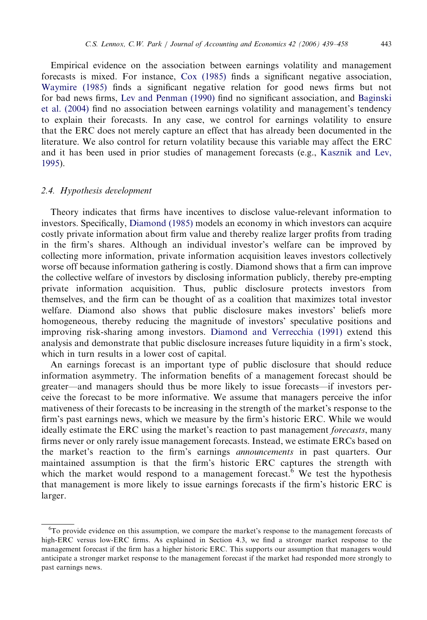Empirical evidence on the association between earnings volatility and management forecasts is mixed. For instance, [Cox \(1985\)](#page-18-0) finds a significant negative association, [Waymire \(1985\)](#page-19-0) finds a significant negative relation for good news firms but not for bad news firms, [Lev and Penman \(1990\)](#page-18-0) find no significant association, and [Baginski](#page-18-0) [et al. \(2004\)](#page-18-0) find no association between earnings volatility and management's tendency to explain their forecasts. In any case, we control for earnings volatility to ensure that the ERC does not merely capture an effect that has already been documented in the literature. We also control for return volatility because this variable may affect the ERC and it has been used in prior studies of management forecasts (e.g., [Kasznik and Lev,](#page-18-0) [1995](#page-18-0)).

# 2.4. Hypothesis development

Theory indicates that firms have incentives to disclose value-relevant information to investors. Specifically, [Diamond \(1985\)](#page-18-0) models an economy in which investors can acquire costly private information about firm value and thereby realize larger profits from trading in the firm's shares. Although an individual investor's welfare can be improved by collecting more information, private information acquisition leaves investors collectively worse off because information gathering is costly. Diamond shows that a firm can improve the collective welfare of investors by disclosing information publicly, thereby pre-empting private information acquisition. Thus, public disclosure protects investors from themselves, and the firm can be thought of as a coalition that maximizes total investor welfare. Diamond also shows that public disclosure makes investors' beliefs more homogeneous, thereby reducing the magnitude of investors' speculative positions and improving risk-sharing among investors. [Diamond and Verrecchia \(1991\)](#page-18-0) extend this analysis and demonstrate that public disclosure increases future liquidity in a firm's stock, which in turn results in a lower cost of capital.

An earnings forecast is an important type of public disclosure that should reduce information asymmetry. The information benefits of a management forecast should be greater—and managers should thus be more likely to issue forecasts—if investors perceive the forecast to be more informative. We assume that managers perceive the infor mativeness of their forecasts to be increasing in the strength of the market's response to the firm's past earnings news, which we measure by the firm's historic ERC. While we would ideally estimate the ERC using the market's reaction to past management *forecasts*, many firms never or only rarely issue management forecasts. Instead, we estimate ERCs based on the market's reaction to the firm's earnings announcements in past quarters. Our maintained assumption is that the firm's historic ERC captures the strength with which the market would respond to a management forecast.<sup>6</sup> We test the hypothesis that management is more likely to issue earnings forecasts if the firm's historic ERC is larger.

<sup>6</sup> To provide evidence on this assumption, we compare the market's response to the management forecasts of high-ERC versus low-ERC firms. As explained in Section 4.3, we find a stronger market response to the management forecast if the firm has a higher historic ERC. This supports our assumption that managers would anticipate a stronger market response to the management forecast if the market had responded more strongly to past earnings news.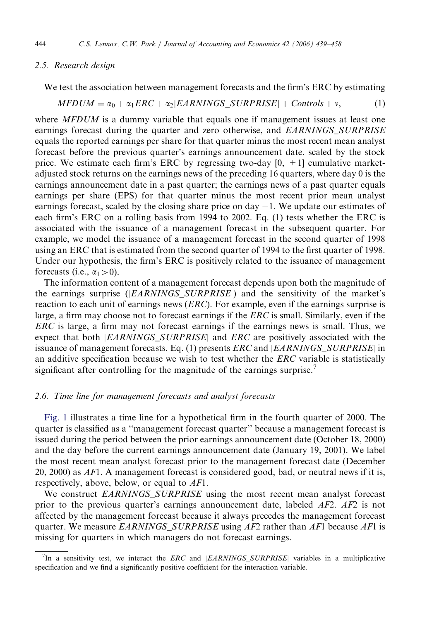# 2.5. Research design

We test the association between management forecasts and the firm's ERC by estimating

$$
MFDUM = \alpha_0 + \alpha_1 ERC + \alpha_2 |EARNINGS_SURPRISE| + \text{Controls} + \nu, \tag{1}
$$

where  $MFDUM$  is a dummy variable that equals one if management issues at least one earnings forecast during the quarter and zero otherwise, and EARNINGS SURPRISE equals the reported earnings per share for that quarter minus the most recent mean analyst forecast before the previous quarter's earnings announcement date, scaled by the stock price. We estimate each firm's ERC by regressing two-day  $[0, +1]$  cumulative marketadjusted stock returns on the earnings news of the preceding 16 quarters, where day 0 is the earnings announcement date in a past quarter; the earnings news of a past quarter equals earnings per share (EPS) for that quarter minus the most recent prior mean analyst earnings forecast, scaled by the closing share price on day  $-1$ . We update our estimates of each firm's ERC on a rolling basis from 1994 to 2002. Eq. (1) tests whether the ERC is associated with the issuance of a management forecast in the subsequent quarter. For example, we model the issuance of a management forecast in the second quarter of 1998 using an ERC that is estimated from the second quarter of 1994 to the first quarter of 1998. Under our hypothesis, the firm's ERC is positively related to the issuance of management forecasts (i.e.,  $\alpha_1 > 0$ ).

The information content of a management forecast depends upon both the magnitude of the earnings surprise ( $|EARNINGS$ <sub>N</sub> URPRISE) and the sensitivity of the market's reaction to each unit of earnings news (ERC). For example, even if the earnings surprise is large, a firm may choose not to forecast earnings if the ERC is small. Similarly, even if the ERC is large, a firm may not forecast earnings if the earnings news is small. Thus, we expect that both |EARNINGS\_SURPRISE| and ERC are positively associated with the issuance of management forecasts. Eq. (1) presents *ERC* and *EARNINGS\_SURPRISE* in an additive specification because we wish to test whether the ERC variable is statistically significant after controlling for the magnitude of the earnings surprise.<sup>7</sup>

## 2.6. Time line for management forecasts and analyst forecasts

[Fig. 1](#page-6-0) illustrates a time line for a hypothetical firm in the fourth quarter of 2000. The quarter is classified as a ''management forecast quarter'' because a management forecast is issued during the period between the prior earnings announcement date (October 18, 2000) and the day before the current earnings announcement date (January 19, 2001). We label the most recent mean analyst forecast prior to the management forecast date (December 20, 2000) as  $AF1$ . A management forecast is considered good, bad, or neutral news if it is, respectively, above, below, or equal to AF1.

We construct EARNINGS\_SURPRISE using the most recent mean analyst forecast prior to the previous quarter's earnings announcement date, labeled AF2. AF2 is not affected by the management forecast because it always precedes the management forecast quarter. We measure  $EARNINGS$  SURPRISE using AF2 rather than AF1 because AF1 is missing for quarters in which managers do not forecast earnings.

<sup>&</sup>lt;sup>7</sup>In a sensitivity test, we interact the *ERC* and  $|EARNINGS_SURPRISE|$  variables in a multiplicative specification and we find a significantly positive coefficient for the interaction variable.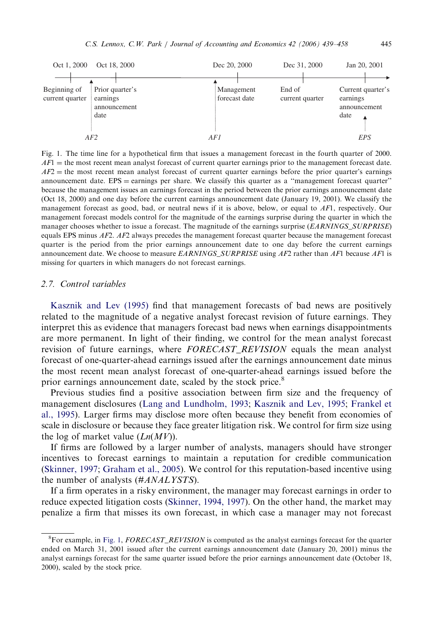<span id="page-6-0"></span>

Fig. 1. The time line for a hypothetical firm that issues a management forecast in the fourth quarter of 2000.  $AF1$  = the most recent mean analyst forecast of current quarter earnings prior to the management forecast date.  $AF2$  = the most recent mean analyst forecast of current quarter earnings before the prior quarter's earnings announcement date.  $EPS =$  earnings per share. We classify this quarter as a "management forecast quarter" because the management issues an earnings forecast in the period between the prior earnings announcement date (Oct 18, 2000) and one day before the current earnings announcement date (January 19, 2001). We classify the management forecast as good, bad, or neutral news if it is above, below, or equal to AF1, respectively. Our management forecast models control for the magnitude of the earnings surprise during the quarter in which the manager chooses whether to issue a forecast. The magnitude of the earnings surprise (EARNINGS SURPRISE) equals EPS minus  $AF2$ .  $AF2$  always precedes the management forecast quarter because the management forecast quarter is the period from the prior earnings announcement date to one day before the current earnings announcement date. We choose to measure EARNINGS\_SURPRISE using AF2 rather than AF1 because AF1 is missing for quarters in which managers do not forecast earnings.

#### 2.7. Control variables

[Kasznik and Lev \(1995\)](#page-18-0) find that management forecasts of bad news are positively related to the magnitude of a negative analyst forecast revision of future earnings. They interpret this as evidence that managers forecast bad news when earnings disappointments are more permanent. In light of their finding, we control for the mean analyst forecast revision of future earnings, where FORECAST\_REVISION equals the mean analyst forecast of one-quarter-ahead earnings issued after the earnings announcement date minus the most recent mean analyst forecast of one-quarter-ahead earnings issued before the prior earnings announcement date, scaled by the stock price.<sup>8</sup>

Previous studies find a positive association between firm size and the frequency of management disclosures [\(Lang and Lundholm, 1993](#page-18-0); [Kasznik and Lev, 1995;](#page-18-0) [Frankel et](#page-18-0) [al., 1995\)](#page-18-0). Larger firms may disclose more often because they benefit from economies of scale in disclosure or because they face greater litigation risk. We control for firm size using the log of market value  $(Ln(MV))$ .

If firms are followed by a larger number of analysts, managers should have stronger incentives to forecast earnings to maintain a reputation for credible communication ([Skinner, 1997](#page-19-0); [Graham et al., 2005\)](#page-18-0). We control for this reputation-based incentive using the number of analysts (#ANALYSTS).

If a firm operates in a risky environment, the manager may forecast earnings in order to reduce expected litigation costs [\(Skinner, 1994, 1997](#page-19-0)). On the other hand, the market may penalize a firm that misses its own forecast, in which case a manager may not forecast

 ${}^{8}$ For example, in Fig. 1, *FORECAST\_REVISION* is computed as the analyst earnings forecast for the quarter ended on March 31, 2001 issued after the current earnings announcement date (January 20, 2001) minus the analyst earnings forecast for the same quarter issued before the prior earnings announcement date (October 18, 2000), scaled by the stock price.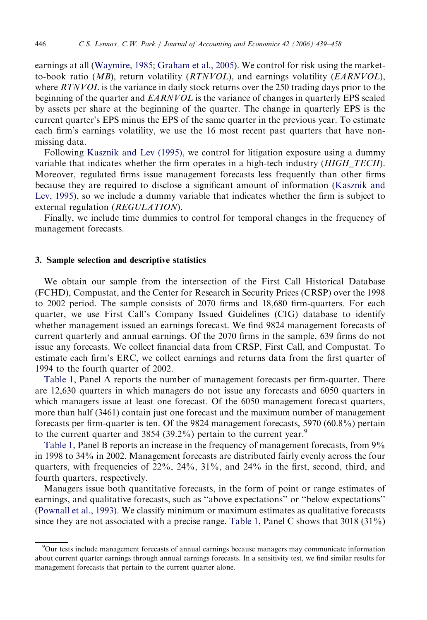earnings at all [\(Waymire, 1985;](#page-19-0) [Graham et al., 2005](#page-18-0)). We control for risk using the marketto-book ratio ( $MB$ ), return volatility ( $RTNVOL$ ), and earnings volatility ( $EARNVOL$ ), where  $RTNVOL$  is the variance in daily stock returns over the 250 trading days prior to the beginning of the quarter and EARNVOL is the variance of changes in quarterly EPS scaled by assets per share at the beginning of the quarter. The change in quarterly EPS is the current quarter's EPS minus the EPS of the same quarter in the previous year. To estimate each firm's earnings volatility, we use the 16 most recent past quarters that have nonmissing data.

Following [Kasznik and Lev \(1995\),](#page-18-0) we control for litigation exposure using a dummy variable that indicates whether the firm operates in a high-tech industry  $(HIGH \, TECH)$ . Moreover, regulated firms issue management forecasts less frequently than other firms because they are required to disclose a significant amount of information [\(Kasznik and](#page-18-0) [Lev, 1995\)](#page-18-0), so we include a dummy variable that indicates whether the firm is subject to external regulation (REGULATION).

Finally, we include time dummies to control for temporal changes in the frequency of management forecasts.

#### 3. Sample selection and descriptive statistics

We obtain our sample from the intersection of the First Call Historical Database (FCHD), Compustat, and the Center for Research in Security Prices (CRSP) over the 1998 to 2002 period. The sample consists of 2070 firms and 18,680 firm-quarters. For each quarter, we use First Call's Company Issued Guidelines (CIG) database to identify whether management issued an earnings forecast. We find 9824 management forecasts of current quarterly and annual earnings. Of the 2070 firms in the sample, 639 firms do not issue any forecasts. We collect financial data from CRSP, First Call, and Compustat. To estimate each firm's ERC, we collect earnings and returns data from the first quarter of 1994 to the fourth quarter of 2002.

[Table 1,](#page-8-0) Panel A reports the number of management forecasts per firm-quarter. There are 12,630 quarters in which managers do not issue any forecasts and 6050 quarters in which managers issue at least one forecast. Of the 6050 management forecast quarters, more than half (3461) contain just one forecast and the maximum number of management forecasts per firm-quarter is ten. Of the 9824 management forecasts, 5970 (60.8%) pertain to the current quarter and 3854 (39.2%) pertain to the current year.<sup>9</sup>

[Table 1,](#page-8-0) Panel B reports an increase in the frequency of management forecasts, from 9% in 1998 to 34% in 2002. Management forecasts are distributed fairly evenly across the four quarters, with frequencies of 22%, 24%, 31%, and 24% in the first, second, third, and fourth quarters, respectively.

Managers issue both quantitative forecasts, in the form of point or range estimates of earnings, and qualitative forecasts, such as ''above expectations'' or ''below expectations'' ([Pownall et al., 1993\)](#page-19-0). We classify minimum or maximum estimates as qualitative forecasts since they are not associated with a precise range. [Table 1](#page-8-0), Panel C shows that 3018 (31%)

<sup>9</sup> Our tests include management forecasts of annual earnings because managers may communicate information about current quarter earnings through annual earnings forecasts. In a sensitivity test, we find similar results for management forecasts that pertain to the current quarter alone.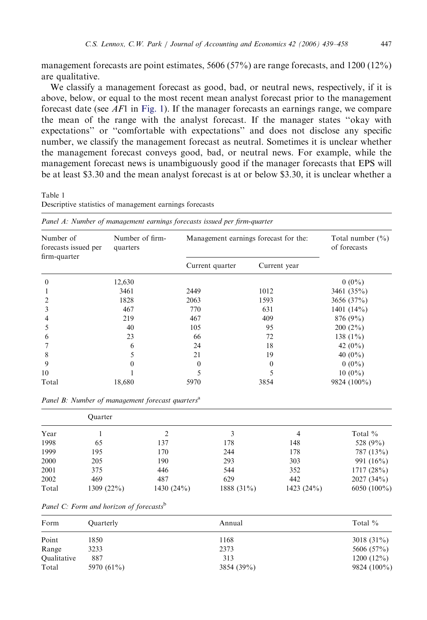<span id="page-8-0"></span>management forecasts are point estimates, 5606 (57%) are range forecasts, and 1200 (12%) are qualitative.

We classify a management forecast as good, bad, or neutral news, respectively, if it is above, below, or equal to the most recent mean analyst forecast prior to the management forecast date (see  $AF1$  in [Fig. 1\)](#page-6-0). If the manager forecasts an earnings range, we compare the mean of the range with the analyst forecast. If the manager states ''okay with expectations'' or ''comfortable with expectations'' and does not disclose any specific number, we classify the management forecast as neutral. Sometimes it is unclear whether the management forecast conveys good, bad, or neutral news. For example, while the management forecast news is unambiguously good if the manager forecasts that EPS will be at least \$3.30 and the mean analyst forecast is at or below \$3.30, it is unclear whether a

Table 1

| Descriptive statistics of management earnings forecasts |  |  |  |  |
|---------------------------------------------------------|--|--|--|--|
|---------------------------------------------------------|--|--|--|--|

|                                                   |                                                              | Panel A: Number of management earnings forecasts issued per firm-quarter |                                       |               |  |  |
|---------------------------------------------------|--------------------------------------------------------------|--------------------------------------------------------------------------|---------------------------------------|---------------|--|--|
| Number of<br>forecasts issued per<br>firm-quarter | Number of firm-<br>quarters                                  |                                                                          | Management earnings forecast for the: |               |  |  |
|                                                   |                                                              | Current quarter                                                          | Current year                          |               |  |  |
| $\Omega$                                          | 12,630                                                       |                                                                          |                                       | $0(0\%)$      |  |  |
|                                                   | 3461                                                         | 2449                                                                     | 1012                                  | 3461 (35%)    |  |  |
| 2                                                 | 1828                                                         | 2063                                                                     | 1593                                  | 3656 (37%)    |  |  |
| 3                                                 | 467                                                          | 770                                                                      | 631                                   | 1401 $(14\%)$ |  |  |
| 4                                                 | 219                                                          | 467                                                                      | 409                                   | 876 (9%)      |  |  |
| 5                                                 | 40                                                           | 105                                                                      | 95                                    | $200(2\%)$    |  |  |
| 6                                                 | 23                                                           | 66                                                                       | 72                                    | 138 $(1\%)$   |  |  |
|                                                   | 6                                                            | 24                                                                       | 18                                    | 42 $(0\%)$    |  |  |
| 8                                                 | 5                                                            | 21                                                                       | 19                                    | 40 $(0\%)$    |  |  |
| 9                                                 | 0                                                            | $\theta$                                                                 | 0                                     | $0(0\%)$      |  |  |
| 10                                                |                                                              | 5                                                                        | 5                                     | $10(0\%)$     |  |  |
| Total                                             | 18,680                                                       | 5970                                                                     | 3854                                  | 9824 (100%)   |  |  |
|                                                   | Panel B: Number of management forecast quarters <sup>a</sup> |                                                                          |                                       |               |  |  |
| Quarter                                           |                                                              |                                                                          |                                       |               |  |  |
| Year<br>1                                         | 2                                                            | 3                                                                        | 4                                     | Total %       |  |  |
| 1998<br>65                                        | 137                                                          | 178                                                                      | 148                                   | 528 (9%)      |  |  |
| 195<br>1999                                       | 170                                                          | 244                                                                      | 178                                   | 787 (13%)     |  |  |
| 2000<br>205                                       | 190                                                          | 293                                                                      | 303                                   | 991 (16%)     |  |  |
| 2001<br>375                                       | 446                                                          | 544                                                                      | 352                                   | 1717(28%)     |  |  |

|  |  |  |  | Panel C: Form and horizon of forecastsb |
|--|--|--|--|-----------------------------------------|
|--|--|--|--|-----------------------------------------|

| Form               | Quarterly  | Annual     | Total $\%$   |
|--------------------|------------|------------|--------------|
| Point              | 1850       | 1168       | $3018(31\%)$ |
| Range              | 3233       | 2373       | 5606 (57%)   |
| <b>Qualitative</b> | 887        | 313        | $1200(12\%)$ |
| Total              | 5970 (61%) | 3854 (39%) | 9824 (100%)  |

2002 469 487 629 442 2027 (34%) Total 1309 (22%) 1430 (24%) 1888 (31%) 1423 (24%) 6050 (100%)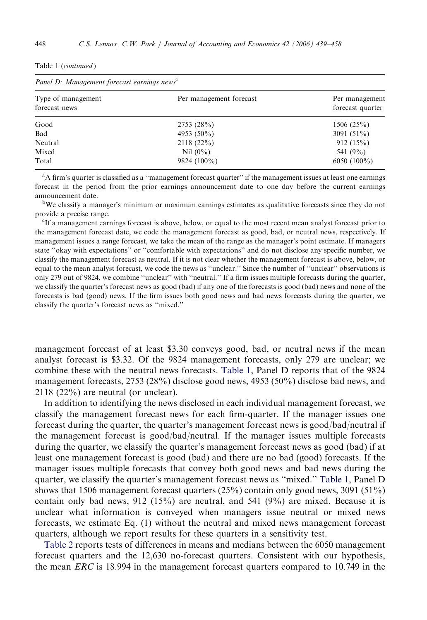| Panel D: Management forecast earnings news <sup>c</sup> |                         |                                    |
|---------------------------------------------------------|-------------------------|------------------------------------|
| Type of management<br>forecast news                     | Per management forecast | Per management<br>forecast quarter |
| Good                                                    | 2753(28%)               | 1506(25%)                          |
| Bad                                                     | 4953 (50%)              | 3091 (51%)                         |
| Neutral                                                 | 2118(22%)               | 912(15%)                           |
| Mixed                                                   | $Nil (0\%)$             | 541 (9%)                           |
| Total                                                   | 9824 (100%)             | 6050 $(100\%)$                     |

Table 1 (continued )

<sup>a</sup>A firm's quarter is classified as a "management forecast quarter" if the management issues at least one earnings forecast in the period from the prior earnings announcement date to one day before the current earnings announcement date.

<sup>b</sup>We classify a manager's minimum or maximum earnings estimates as qualitative forecasts since they do not provide a precise range.

c If a management earnings forecast is above, below, or equal to the most recent mean analyst forecast prior to the management forecast date, we code the management forecast as good, bad, or neutral news, respectively. If management issues a range forecast, we take the mean of the range as the manager's point estimate. If managers state ''okay with expectations'' or ''comfortable with expectations'' and do not disclose any specific number, we classify the management forecast as neutral. If it is not clear whether the management forecast is above, below, or equal to the mean analyst forecast, we code the news as ''unclear.'' Since the number of ''unclear'' observations is only 279 out of 9824, we combine ''unclear'' with ''neutral.'' If a firm issues multiple forecasts during the quarter, we classify the quarter's forecast news as good (bad) if any one of the forecasts is good (bad) news and none of the forecasts is bad (good) news. If the firm issues both good news and bad news forecasts during the quarter, we classify the quarter's forecast news as ''mixed.''

management forecast of at least \$3.30 conveys good, bad, or neutral news if the mean analyst forecast is \$3.32. Of the 9824 management forecasts, only 279 are unclear; we combine these with the neutral news forecasts. [Table 1](#page-8-0), Panel D reports that of the 9824 management forecasts, 2753 (28%) disclose good news, 4953 (50%) disclose bad news, and 2118 (22%) are neutral (or unclear).

In addition to identifying the news disclosed in each individual management forecast, we classify the management forecast news for each firm-quarter. If the manager issues one forecast during the quarter, the quarter's management forecast news is good/bad/neutral if the management forecast is good/bad/neutral. If the manager issues multiple forecasts during the quarter, we classify the quarter's management forecast news as good (bad) if at least one management forecast is good (bad) and there are no bad (good) forecasts. If the manager issues multiple forecasts that convey both good news and bad news during the quarter, we classify the quarter's management forecast news as ''mixed.'' [Table 1](#page-8-0), Panel D shows that 1506 management forecast quarters (25%) contain only good news, 3091 (51%) contain only bad news, 912 (15%) are neutral, and 541 (9%) are mixed. Because it is unclear what information is conveyed when managers issue neutral or mixed news forecasts, we estimate Eq. (1) without the neutral and mixed news management forecast quarters, although we report results for these quarters in a sensitivity test.

[Table 2](#page-10-0) reports tests of differences in means and medians between the 6050 management forecast quarters and the 12,630 no-forecast quarters. Consistent with our hypothesis, the mean ERC is 18.994 in the management forecast quarters compared to 10.749 in the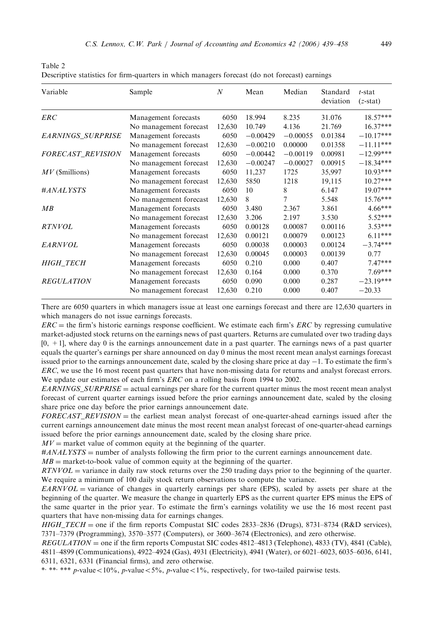<span id="page-10-0"></span>Table 2

|  |  | Descriptive statistics for firm-quarters in which managers forecast (do not forecast) earnings |  |  |  |  |  |
|--|--|------------------------------------------------------------------------------------------------|--|--|--|--|--|
|  |  |                                                                                                |  |  |  |  |  |

| Variable          | Sample                 | $\boldsymbol{N}$ | Mean       | Median     | Standard<br>deviation | $t$ -stat<br>$(z-stat)$ |
|-------------------|------------------------|------------------|------------|------------|-----------------------|-------------------------|
| <b>ERC</b>        | Management forecasts   | 6050             | 18.994     | 8.235      | 31.076                | 18.57***                |
|                   | No management forecast | 12,630           | 10.749     | 4.136      | 21.769                | $16.37***$              |
| EARNINGS_SURPRISE | Management forecasts   | 6050             | $-0.00429$ | $-0.00055$ | 0.01384               | $-10.17***$             |
|                   | No management forecast | 12,630           | $-0.00210$ | 0.00000    | 0.01358               | $-11.11***$             |
| FORECAST_REVISION | Management forecasts   | 6050             | $-0.00442$ | $-0.00119$ | 0.00981               | $-12.99***$             |
|                   | No management forecast | 12,630           | $-0.00247$ | $-0.00027$ | 0.00915               | $-18.34***$             |
| $MV$ (\$millions) | Management forecasts   | 6050             | 11,237     | 1725       | 35,997                | 10.93***                |
|                   | No management forecast | 12,630           | 5850       | 1218       | 19,115                | $10.27***$              |
| #ANALYSTS         | Management forecasts   | 6050             | 10         | 8          | 6.147                 | 19.07***                |
|                   | No management forecast | 12,630           | 8          | 7          | 5.548                 | 15.76***                |
| MB                | Management forecasts   | 6050             | 3.480      | 2.367      | 3.861                 | $4.66***$               |
|                   | No management forecast | 12,630           | 3.206      | 2.197      | 3.530                 | $5.52***$               |
| <b>RTNVOL</b>     | Management forecasts   | 6050             | 0.00128    | 0.00087    | 0.00116               | $3.53***$               |
|                   | No management forecast | 12,630           | 0.00121    | 0.00079    | 0.00123               | $6.11***$               |
| <b>EARNVOL</b>    | Management forecasts   | 6050             | 0.00038    | 0.00003    | 0.00124               | $-3.74***$              |
|                   | No management forecast | 12,630           | 0.00045    | 0.00003    | 0.00139               | 0.77                    |
| <i>HIGH_TECH</i>  | Management forecasts   | 6050             | 0.210      | 0.000      | 0.407                 | $7.47***$               |
|                   | No management forecast | 12,630           | 0.164      | 0.000      | 0.370                 | $7.69***$               |
| <b>REGULATION</b> | Management forecasts   | 6050             | 0.090      | 0.000      | 0.287                 | $-23.19***$             |
|                   | No management forecast | 12,630           | 0.210      | 0.000      | 0.407                 | $-20.33$                |

There are 6050 quarters in which managers issue at least one earnings forecast and there are 12,630 quarters in which managers do not issue earnings forecasts.

 $ERC =$  the firm's historic earnings response coefficient. We estimate each firm's  $ERC$  by regressing cumulative market-adjusted stock returns on the earnings news of past quarters. Returns are cumulated over two trading days  $[0, +1]$ , where day 0 is the earnings announcement date in a past quarter. The earnings news of a past quarter equals the quarter's earnings per share announced on day 0 minus the most recent mean analyst earnings forecast issued prior to the earnings announcement date, scaled by the closing share price at day  $-1$ . To estimate the firm's ERC, we use the 16 most recent past quarters that have non-missing data for returns and analyst forecast errors. We update our estimates of each firm's *ERC* on a rolling basis from 1994 to 2002.

 $EARNINGS$  SURPRISE = actual earnings per share for the current quarter minus the most recent mean analyst forecast of current quarter earnings issued before the prior earnings announcement date, scaled by the closing share price one day before the prior earnings announcement date.

 $FORECAT\_REVISION$  = the earliest mean analyst forecast of one-quarter-ahead earnings issued after the current earnings announcement date minus the most recent mean analyst forecast of one-quarter-ahead earnings issued before the prior earnings announcement date, scaled by the closing share price.

 $MV =$  market value of common equity at the beginning of the quarter.

 $\text{HANAL}$  is  $\text{HANAL}$  number of analysts following the firm prior to the current earnings announcement date.

 $MB =$  market-to-book value of common equity at the beginning of the quarter.

 $RTNVOL =$  variance in daily raw stock returns over the 250 trading days prior to the beginning of the quarter. We require a minimum of 100 daily stock return observations to compute the variance.

 $EARNVOL =$  variance of changes in quarterly earnings per share (EPS), scaled by assets per share at the beginning of the quarter. We measure the change in quarterly EPS as the current quarter EPS minus the EPS of the same quarter in the prior year. To estimate the firm's earnings volatility we use the 16 most recent past quarters that have non-missing data for earnings changes.

 $HIGH\_TECH =$  one if the firm reports Compustat SIC codes 2833-2836 (Drugs), 8731-8734 (R&D services), 7371–7379 (Programming), 3570–3577 (Computers), or 3600–3674 (Electronics), and zero otherwise.

 $REGULATION = one if the firm reports Computast SIC codes 4812–4813 (Telephone), 4833 (TV), 4841 (Cable),$ 4811–4899 (Communications), 4922–4924 (Gas), 4931 (Electricity), 4941 (Water), or 6021–6023, 6035–6036, 6141, 6311, 6321, 6331 (Financial firms), and zero otherwise.

\*, \*\*, \*\*\* p-value  $<10\%$ , p-value  $<5\%$ , p-value  $<1\%$ , respectively, for two-tailed pairwise tests.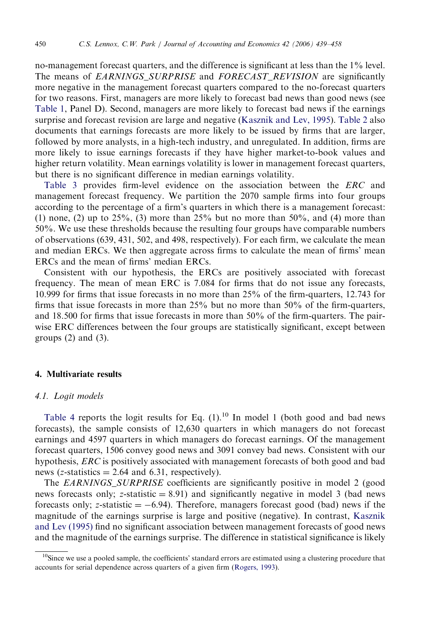no-management forecast quarters, and the difference is significant at less than the 1% level. The means of EARNINGS\_SURPRISE and FORECAST\_REVISION are significantly more negative in the management forecast quarters compared to the no-forecast quarters for two reasons. First, managers are more likely to forecast bad news than good news (see [Table 1,](#page-8-0) Panel D). Second, managers are more likely to forecast bad news if the earnings surprise and forecast revision are large and negative ([Kasznik and Lev, 1995](#page-18-0)). [Table 2](#page-10-0) also documents that earnings forecasts are more likely to be issued by firms that are larger, followed by more analysts, in a high-tech industry, and unregulated. In addition, firms are more likely to issue earnings forecasts if they have higher market-to-book values and higher return volatility. Mean earnings volatility is lower in management forecast quarters, but there is no significant difference in median earnings volatility.

[Table 3](#page-12-0) provides firm-level evidence on the association between the ERC and management forecast frequency. We partition the 2070 sample firms into four groups according to the percentage of a firm's quarters in which there is a management forecast: (1) none, (2) up to  $25\%$ , (3) more than  $25\%$  but no more than  $50\%$ , and (4) more than 50%. We use these thresholds because the resulting four groups have comparable numbers of observations (639, 431, 502, and 498, respectively). For each firm, we calculate the mean and median ERCs. We then aggregate across firms to calculate the mean of firms' mean ERCs and the mean of firms' median ERCs.

Consistent with our hypothesis, the ERCs are positively associated with forecast frequency. The mean of mean ERC is 7.084 for firms that do not issue any forecasts, 10.999 for firms that issue forecasts in no more than 25% of the firm-quarters, 12.743 for firms that issue forecasts in more than  $25\%$  but no more than  $50\%$  of the firm-quarters, and 18.500 for firms that issue forecasts in more than 50% of the firm-quarters. The pairwise ERC differences between the four groups are statistically significant, except between groups  $(2)$  and  $(3)$ .

#### 4. Multivariate results

#### 4.1. Logit models

[Table 4](#page-13-0) reports the logit results for Eq.  $(1)$ .<sup>10</sup> In model 1 (both good and bad news forecasts), the sample consists of 12,630 quarters in which managers do not forecast earnings and 4597 quarters in which managers do forecast earnings. Of the management forecast quarters, 1506 convey good news and 3091 convey bad news. Consistent with our hypothesis, ERC is positively associated with management forecasts of both good and bad news (*z*-statistics  $= 2.64$  and 6.31, respectively).

The EARNINGS\_SURPRISE coefficients are significantly positive in model 2 (good news forecasts only; z-statistic  $= 8.91$ ) and significantly negative in model 3 (bad news forecasts only; z-statistic  $= -6.94$ ). Therefore, managers forecast good (bad) news if the magnitude of the earnings surprise is large and positive (negative). In contrast, [Kasznik](#page-18-0) [and Lev \(1995\)](#page-18-0) find no significant association between management forecasts of good news and the magnitude of the earnings surprise. The difference in statistical significance is likely

 $10$ Since we use a pooled sample, the coefficients' standard errors are estimated using a clustering procedure that accounts for serial dependence across quarters of a given firm ([Rogers, 1993\)](#page-19-0).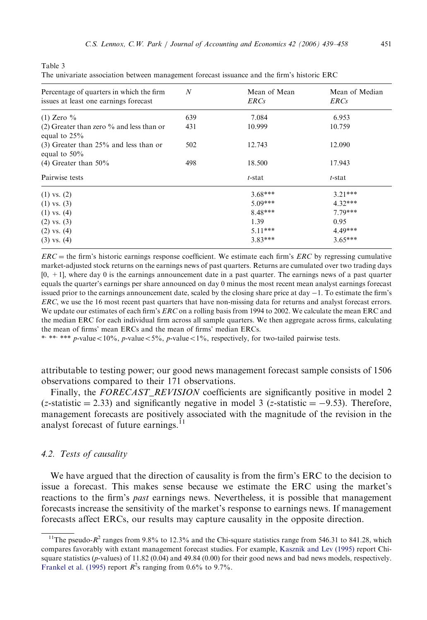<span id="page-12-0"></span>

| . . |  |
|-----|--|
|-----|--|

| The univariate association between management forecast issuance and the firm's historic ERC |  |
|---------------------------------------------------------------------------------------------|--|
|---------------------------------------------------------------------------------------------|--|

| Percentage of quarters in which the firm<br>issues at least one earnings forecast | $\boldsymbol{N}$ | Mean of Mean<br><i>ERCs</i> | Mean of Median<br><b>ERCs</b> |
|-----------------------------------------------------------------------------------|------------------|-----------------------------|-------------------------------|
| $(1)$ Zero %                                                                      | 639              | 7.084                       | 6.953                         |
| (2) Greater than zero $\%$ and less than or<br>equal to $25%$                     | 431              | 10.999                      | 10.759                        |
| $(3)$ Greater than 25% and less than or<br>equal to $50\%$                        | 502              | 12.743                      | 12.090                        |
| $(4)$ Greater than 50%                                                            | 498              | 18.500                      | 17.943                        |
| Pairwise tests                                                                    |                  | $t$ -stat                   | $t$ -stat                     |
| $(1)$ vs. $(2)$                                                                   |                  | $3.68***$                   | $3.21***$                     |
| $(1)$ vs. $(3)$                                                                   |                  | $5.09***$                   | $4.32***$                     |
| $(1)$ vs. $(4)$                                                                   |                  | 8.48***                     | $7.79***$                     |
| $(2)$ vs. $(3)$                                                                   |                  | 1.39                        | 0.95                          |
| $(2)$ vs. $(4)$                                                                   |                  | $5.11***$                   | $4.49***$                     |
| $(3)$ vs. $(4)$                                                                   |                  | 3.83***                     | $3.65***$                     |

 $ERC =$  the firm's historic earnings response coefficient. We estimate each firm's ERC by regressing cumulative market-adjusted stock returns on the earnings news of past quarters. Returns are cumulated over two trading days  $[0, +1]$ , where day 0 is the earnings announcement date in a past quarter. The earnings news of a past quarter equals the quarter's earnings per share announced on day 0 minus the most recent mean analyst earnings forecast issued prior to the earnings announcement date, scaled by the closing share price at day  $-1$ . To estimate the firm's ERC, we use the 16 most recent past quarters that have non-missing data for returns and analyst forecast errors. We update our estimates of each firm's *ERC* on a rolling basis from 1994 to 2002. We calculate the mean ERC and the median ERC for each individual firm across all sample quarters. We then aggregate across firms, calculating the mean of firms' mean ERCs and the mean of firms' median ERCs.

\*\*\*\*\*\*\*\* p-value <10%, p-value <5%, p-value <1%, respectively, for two-tailed pairwise tests.

attributable to testing power; our good news management forecast sample consists of 1506 observations compared to their 171 observations.

Finally, the FORECAST REVISION coefficients are significantly positive in model 2 (z-statistic  $=$  2.33) and significantly negative in model 3 (z-statistic  $=$  -9.53). Therefore, management forecasts are positively associated with the magnitude of the revision in the analyst forecast of future earnings.<sup>11</sup>

#### 4.2. Tests of causality

We have argued that the direction of causality is from the firm's ERC to the decision to issue a forecast. This makes sense because we estimate the ERC using the market's reactions to the firm's *past* earnings news. Nevertheless, it is possible that management forecasts increase the sensitivity of the market's response to earnings news. If management forecasts affect ERCs, our results may capture causality in the opposite direction.

<sup>&</sup>lt;sup>11</sup>The pseudo- $R^2$  ranges from 9.8% to 12.3% and the Chi-square statistics range from 546.31 to 841.28, which compares favorably with extant management forecast studies. For example, [Kasznik and Lev \(1995\)](#page-18-0) report Chisquare statistics (*p*-values) of 11.82 (0.04) and 49.84 (0.00) for their good news and bad news models, respectively. [Frankel et al. \(1995\)](#page-18-0) report  $R^2$ s ranging from 0.6% to 9.7%.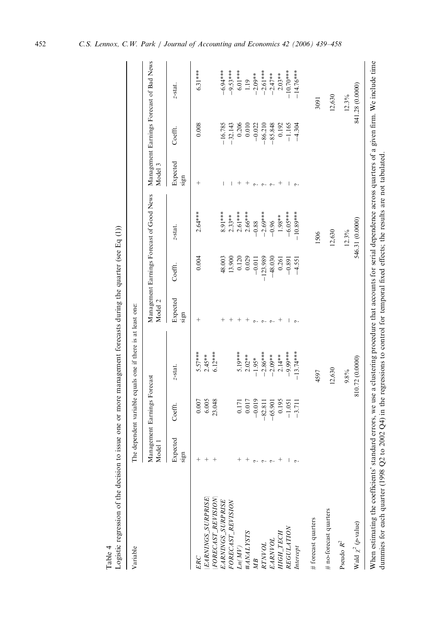| Variable                                                                                                                                                                                                |                    |                              | The dependent variable equals one if there is at least one: |                                  |            |                                                                                                        |                  |           |                                          |
|---------------------------------------------------------------------------------------------------------------------------------------------------------------------------------------------------------|--------------------|------------------------------|-------------------------------------------------------------|----------------------------------|------------|--------------------------------------------------------------------------------------------------------|------------------|-----------|------------------------------------------|
|                                                                                                                                                                                                         | Model 1            | Management Earnings Forecast |                                                             | Model 2                          |            | Management Earnings Forecast of Good News                                                              | Model 3          |           | Management Earnings Forecast of Bad News |
|                                                                                                                                                                                                         | Expected<br>sign   | Coefft                       | z-stat.                                                     | Expected<br>sign                 | Coefft.    | z-stat.                                                                                                | Expected<br>sign | Coefft.   | z-stat.                                  |
| ERC                                                                                                                                                                                                     | $\hspace{0.1mm} +$ | 0.007                        | $5.57***$                                                   | $^{+}$                           | 0.004      | $2.64***$                                                                                              | $^{+}$           | 0.008     | 6.31 ***                                 |
| EARNINGS_SURPRISE                                                                                                                                                                                       | $^+$               | 6.005                        | $2.45***$                                                   |                                  |            |                                                                                                        |                  |           |                                          |
| FORECAST_REVISION                                                                                                                                                                                       | $^{+}$             | 23.048                       | $6.12***$                                                   |                                  |            |                                                                                                        |                  |           |                                          |
| EARNINGS_SURPRISE                                                                                                                                                                                       |                    |                              |                                                             | $\hspace{0.1mm} +\hspace{0.1mm}$ | 48.003     | $8.91***$                                                                                              | I                | $-16.785$ | $-6.94***$                               |
| $\begin{array}{l} \textit{FORCAST\_REVISION} \\ \textit{Ln}(\textit{MV}) \end{array}$                                                                                                                   |                    |                              |                                                             | $^+$                             | 13.900     | $2.33***$                                                                                              | I                | $-32.143$ | $-9.53***$                               |
|                                                                                                                                                                                                         |                    | 0.171                        | 5.19***                                                     | $^{+}$                           | 0.120      | $2.61***$                                                                                              | $^{+}$           | 0.206     | $6.01***$                                |
| #ANALYSTS                                                                                                                                                                                               | $^+$               | 0.017                        | $2.02***$                                                   | $^{+}$                           | 0.029      | $2.66***$                                                                                              | $^{+}$           | 0.010     | 1.19                                     |
| $\bar{M}$                                                                                                                                                                                               | $\sim$             | $-0.019$                     | $-1.95*$                                                    |                                  | $-0.011$   | $-0.88$                                                                                                | $\sim$           | $-0.022$  | $-2.09**$                                |
| RTNVOL                                                                                                                                                                                                  | $\mathord{\sim}$   | $-82.81$                     | $-2.86***$                                                  | $\mathord{\sim}$                 | $-123.989$ | $-2.69***$                                                                                             | $\sim$           | $-86.210$ | $-2.61***$                               |
| EARNVOL                                                                                                                                                                                                 | $\sim$             | $-65.90$                     | $-2.09**$                                                   | $\sim$                           | $-48.030$  | $-0.96$                                                                                                | $\sim$           | $-85.848$ | $-2.47**$                                |
|                                                                                                                                                                                                         | $^+$               | 0.195                        | $2.14***$                                                   | $^{+}$                           | 0.261      | $1.98***$                                                                                              | $^{+}$           | 0.192     | $2.03***$                                |
| $\frac{HIGH\_TECH}{REGULATION}$                                                                                                                                                                         | I                  | $-1.051$                     | $-9.99***$                                                  | $\overline{\phantom{a}}$         | $-0.891$   | $-6.05***$                                                                                             | I                | $-1.165$  | $-10.70***$                              |
| Intercept                                                                                                                                                                                               | $\sim$             | $-3.711$                     | $-13.74***$                                                 | $\sim$                           | $-4.551$   | $-10.89***$                                                                                            | $\sim$           | $-4.304$  | $-14.76***$                              |
| # forecast quarters                                                                                                                                                                                     |                    |                              | 4597                                                        |                                  |            | 1506                                                                                                   |                  |           | 3091                                     |
| # no-forecast quarters                                                                                                                                                                                  |                    |                              | 12,630                                                      |                                  |            | 12,630                                                                                                 |                  |           | 12,630                                   |
| Pseudo $R^2$                                                                                                                                                                                            |                    |                              | 9.8%                                                        |                                  |            | 12.3%                                                                                                  |                  |           | 12.3%                                    |
| Wald $\chi^2$ (p-value)                                                                                                                                                                                 |                    |                              | 810.72 (0.0000)                                             |                                  |            | 546.31 (0.0000)                                                                                        |                  |           | 841.28 (0.0000)                          |
| When estimating the coefficients' standard errors, we use a clustering procedure that accounts for serial dependence across quarters of a given firm. We include time<br>dummies for each quarter (1998 |                    |                              |                                                             |                                  |            | Q2 to 2002 Q4) in the regressions to control for temporal fixed effects; the results are not tabulated |                  |           |                                          |

Table 4<br>Logistic regression of the decision to issue one or more management forecasts during the quarter (see Eq (1)) Logistic regression of the decision to issue one or more management forecasts during the quarter (see Eq (1))

<span id="page-13-0"></span>452 C.S. Lennox, C.W. Park / Journal of Accounting and Economics 42 (2006) 439–458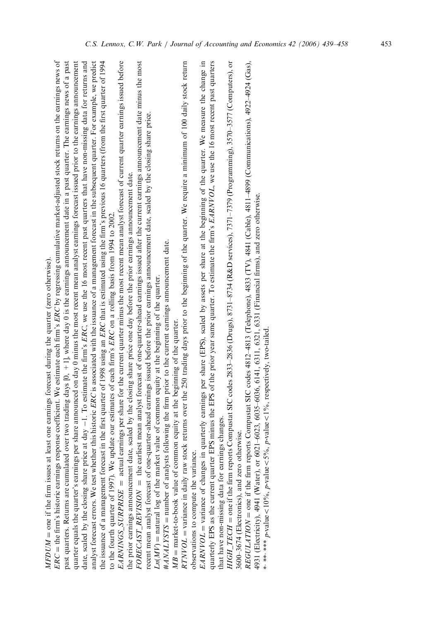| $ERC =$ the firm's historic earnings response coefficient. We estimate each firm's $ERC$ by regressing cumulative market-adjusted stock returns on the earnings news of<br>past quarters. Returns are cumulated over two trading days [0, +1], where day 0 is the earnings announcement date in a past quarter. The earnings news of a past<br>at least one earnings forecast during the quarter (zero otherwise).<br>$MFDUM =$ one if the firm issues |
|--------------------------------------------------------------------------------------------------------------------------------------------------------------------------------------------------------------------------------------------------------------------------------------------------------------------------------------------------------------------------------------------------------------------------------------------------------|
| quarter equals the quarter's earnings per share announced on day 0 minus the most recent mean analyst earnings forecast issued prior to the earnings announcement<br>date, scaled by the closing share price at day $-1$ . To estimate the firm's ERC, we use the 16 most recent past quarters that have non-missing data for returns and                                                                                                              |
| analyst forecast errors. We test whether this historic ERC is associated with the issuance of a management forecast in the subsequent quarter. For example, we predict<br>the issuance of a management forecast in the first quarter of 1998 using an ERC that is estimated using the firm's previous 16 quarters (from the first quarter of 1994                                                                                                      |
| EARNINGS_SURPRISE = actual earnings per share for the current quarter minus the most recent mean analyst forecast of current quarter earnings issued before<br>e update our estimates of each firm's $ERC$ on a rolling basis from 1994 to 2002.<br>to the fourth quarter of 1997). W                                                                                                                                                                  |
| date, scaled by the closing share price one day before the prior earnings announcement date.<br>the prior earnings announcement                                                                                                                                                                                                                                                                                                                        |
| earliest mean analyst forecast of one-quarter-ahead earnings issued after the current earnings announcement date minus the most<br>$FOREGAST\_REVISION = the$                                                                                                                                                                                                                                                                                          |
| recent mean analyst forecast of one-quarter-ahead earnings issued before the prior earnings announcement date, scaled by the closing share price.                                                                                                                                                                                                                                                                                                      |
| $Ln(MV)$ = natural log of the market value of common equity at the beginning of the quarter.                                                                                                                                                                                                                                                                                                                                                           |
| $\#A/N4L YSTS$ = number of analysts following the firm prior to the current earnings announcement date.                                                                                                                                                                                                                                                                                                                                                |
| $MB =$ market-to-book value of common equity at the beginning of the quarter.                                                                                                                                                                                                                                                                                                                                                                          |
| RTNVOL = variance in daily raw stock returns over the 250 trading days prior to the beginning of the quarter. We require a minimum of 100 daily stock return                                                                                                                                                                                                                                                                                           |
| observations to compute the variance.                                                                                                                                                                                                                                                                                                                                                                                                                  |
| EARNVOL = variance of changes in quarterly earnings per share (EPS), scaled by assets per share at the beginning of the quarter. We measure the change in                                                                                                                                                                                                                                                                                              |
| quarterly EPS as the current quarter EPS minus the EPS of the prior year same quarter. To estimate the firm's EARNVOL, we use the 16 most recent past quarters                                                                                                                                                                                                                                                                                         |
| that have non-missing data for earnings changes.                                                                                                                                                                                                                                                                                                                                                                                                       |
| $H1GH\_TECH =$ one if the firm reports Compustat SIC codes 2833-2836 (Drugs), 8731-8734 (R&D services), 7371-7379 (Programming), 3570-3577 (Computers), or                                                                                                                                                                                                                                                                                             |
| 3600-3674 (Electronics), and zero otherwise.                                                                                                                                                                                                                                                                                                                                                                                                           |

C.S. Lennox, C.W. Park / Journal of Accounting and Economics 42 (2006) 439–458 453

REGULATION

\*, \*\*, \*\*\* p-value

 $<$ 10%, p-value

 $<$ 5%, *p*-value

\*\*\*\*\*\*\*\* p-value <10%, p-value <5%, p-value <1%, respectively, two-tailed.

REGULATION = one if the firm reports Compustat SIC codes 4812-4813 (Telephone), 4833 (TV), 4841 (Cable), 4811-4811-4899 (Communications), 4922-4924 (Gas),

4931 (Electricity), 4941 (Water), or 6021–6023, 6035–6036, 6141, 6311, 6321, 6331 (Financial firms), and zero otherwise.

4931 (Electricity), 4941 (Water), or 6021-6023, 6035-6036, 6141, 6311, 6321, 6331 (Financial firms), and zero otherwise.

o1%, respectively, two-tailed.

one if the firm reports Compustat SIC codes 4812–4813 (Telephone), 4833 (TV), 4841 (Cable), 4811–4899 (Communications), 4922–4924 (Gas),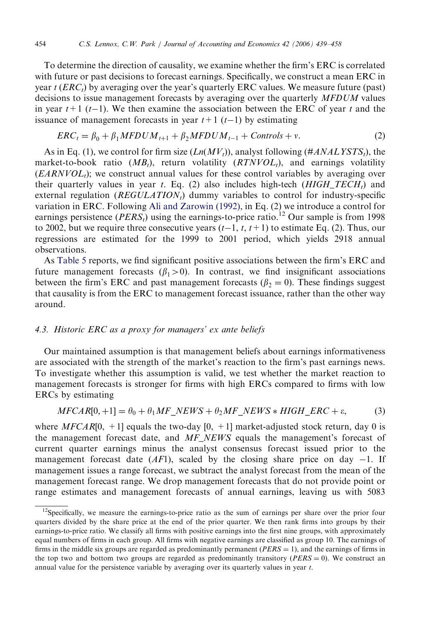To determine the direction of causality, we examine whether the firm's ERC is correlated with future or past decisions to forecast earnings. Specifically, we construct a mean ERC in year  $t$  (*ERC* $)$ ) by averaging over the year's quarterly ERC values. We measure future (past) decisions to issue management forecasts by averaging over the quarterly MFDUM values in year  $t+1$  ( $t-1$ ). We then examine the association between the ERC of year t and the issuance of management forecasts in year  $t+1$  ( $t-1$ ) by estimating

$$
ERC_{t} = \beta_0 + \beta_1 MPDUM_{t+1} + \beta_2 MPDUM_{t-1} + Controls + v.
$$
 (2)

As in Eq. (1), we control for firm size  $(Ln(MV_t))$ , analyst following (#ANALYSTS<sub>t</sub>), the market-to-book ratio  $(MB_t)$ , return volatility  $(RTNVOL_t)$ , and earnings volatility  $(EARNVOL<sub>t</sub>)$ ; we construct annual values for these control variables by averaging over their quarterly values in year t. Eq. (2) also includes high-tech  $(HIGH \, TECH_t)$  and external regulation ( $REGULATION<sub>t</sub>$ ) dummy variables to control for industry-specific variation in ERC. Following [Ali and Zarowin \(1992\)](#page-18-0), in Eq. (2) we introduce a control for earnings persistence ( $PERS<sub>i</sub>$ ) using the earnings-to-price ratio.<sup>12</sup> Our sample is from 1998 to 2002, but we require three consecutive years  $(t-1, t, t+1)$  to estimate Eq. (2). Thus, our regressions are estimated for the 1999 to 2001 period, which yields 2918 annual observations.

As [Table 5](#page-16-0) reports, we find significant positive associations between the firm's ERC and future management forecasts  $(\beta_1 > 0)$ . In contrast, we find insignificant associations between the firm's ERC and past management forecasts ( $\beta_2 = 0$ ). These findings suggest that causality is from the ERC to management forecast issuance, rather than the other way around.

# 4.3. Historic ERC as a proxy for managers' ex ante beliefs

Our maintained assumption is that management beliefs about earnings informativeness are associated with the strength of the market's reaction to the firm's past earnings news. To investigate whether this assumption is valid, we test whether the market reaction to management forecasts is stronger for firms with high ERCs compared to firms with low ERCs by estimating

$$
MFCAR[0, +1] = \theta_0 + \theta_1 MF\_NEWS + \theta_2 MF\_NEWS * HIGH\_ERC + \varepsilon,
$$
 (3)

where  $MFCAR[0, +1]$  equals the two-day  $[0, +1]$  market-adjusted stock return, day 0 is the management forecast date, and MF\_NEWS equals the management's forecast of current quarter earnings minus the analyst consensus forecast issued prior to the management forecast date (AF1), scaled by the closing share price on day  $-1$ . If management issues a range forecast, we subtract the analyst forecast from the mean of the management forecast range. We drop management forecasts that do not provide point or range estimates and management forecasts of annual earnings, leaving us with 5083

 $12$ Specifically, we measure the earnings-to-price ratio as the sum of earnings per share over the prior four quarters divided by the share price at the end of the prior quarter. We then rank firms into groups by their earnings-to-price ratio. We classify all firms with positive earnings into the first nine groups, with approximately equal numbers of firms in each group. All firms with negative earnings are classified as group 10. The earnings of firms in the middle six groups are regarded as predominantly permanent ( $PERS = 1$ ), and the earnings of firms in the top two and bottom two groups are regarded as predominantly transitory ( $PERS = 0$ ). We construct an annual value for the persistence variable by averaging over its quarterly values in year t.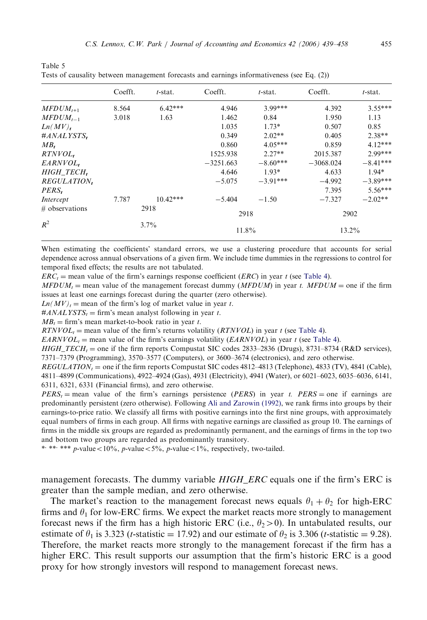|                | Coefft. | $t$ -stat. | Coefft.     | $t$ -stat. | Coefft.     | $t$ -stat. |
|----------------|---------|------------|-------------|------------|-------------|------------|
| $MFDUM_{t+1}$  | 8.564   | $6.42***$  | 4.946       | 3.99***    | 4.392       | $3.55***$  |
| $MFDUM_{t-1}$  | 3.018   | 1.63       | 1.462       | 0.84       | 1.950       | 1.13       |
| $Ln(MV)$ ,     |         |            | 1.035       | $1.73*$    | 0.507       | 0.85       |
| #ANALYSTS,     |         |            | 0.349       | $2.02**$   | 0.405       | $2.38**$   |
| $MB_{t}$       |         |            | 0.860       | $4.05***$  | 0.859       | $4.12***$  |
| RTNVOL         |         |            | 1525.938    | $2.27**$   | 2015.387    | $2.99***$  |
| $EARNVOL_t$    |         |            | $-3251.663$ | $-8.60***$ | $-3068.024$ | $-8.41***$ |
| HIGH_TECH,     |         |            | 4.646       | $1.93*$    | 4.633       | $1.94*$    |
| REGULATION,    |         |            | $-5.075$    | $-3.91***$ | $-4.992$    | $-3.89***$ |
| PERS,          |         |            |             |            | 7.395       | $5.56***$  |
| Intercept      | 7.787   | $10.42***$ | $-5.404$    | $-1.50$    | $-7.327$    | $-2.02**$  |
| # observations | 2918    |            | 2918        |            | 2902        |            |
| $R^2$          | $3.7\%$ |            | $11.8\%$    |            | $13.2\%$    |            |

<span id="page-16-0"></span>Table 5 Tests of causality between management forecasts and earnings informativeness (see Eq. (2))

When estimating the coefficients' standard errors, we use a clustering procedure that accounts for serial dependence across annual observations of a given firm. We include time dummies in the regressions to control for temporal fixed effects; the results are not tabulated.

 $ERC<sub>t</sub>$  = mean value of the firm's earnings response coefficient (*ERC*) in year t (see [Table 4\)](#page-13-0).

 $MPDUM_t$  = mean value of the management forecast dummy (MFDUM) in year t. MFDUM = one if the firm issues at least one earnings forecast during the quarter (zero otherwise).

 $Ln(MV)_t$  = mean of the firm's log of market value in year t.

 $\#ANALYSTS_t = \text{firm's mean analyst following in year } t.$ 

 $MB_t =$  firm's mean market-to-book ratio in year t.

 $RTNVOL<sub>t</sub>$  = mean value of the firm's returns volatility ( $RTNVOL$ ) in year t (see [Table 4](#page-13-0)).

 $EARNVOL<sub>t</sub>$  mean value of the firm's earnings volatility ( $EARNVOL$ ) in year t (see [Table 4](#page-13-0)).

 $HIGH\_TECH_1 =$  one if the firm reports Compustat SIC codes 2833–2836 (Drugs), 8731–8734 (R&D services), 7371–7379 (Programming), 3570–3577 (Computers), or 3600–3674 (electronics), and zero otherwise.

 $REGULATION<sub>t</sub> =$  one if the firm reports Compustat SIC codes 4812–4813 (Telephone), 4833 (TV), 4841 (Cable), 4811–4899 (Communications), 4922–4924 (Gas), 4931 (Electricity), 4941 (Water), or 6021–6023, 6035–6036, 6141, 6311, 6321, 6331 (Financial firms), and zero otherwise.

 $PERS<sub>1</sub>$  mean value of the firm's earnings persistence (PERS) in year t. PERS = one if earnings are predominantly persistent (zero otherwise). Following [Ali and Zarowin \(1992\)](#page-18-0), we rank firms into groups by their earnings-to-price ratio. We classify all firms with positive earnings into the first nine groups, with approximately equal numbers of firms in each group. All firms with negative earnings are classified as group 10. The earnings of firms in the middle six groups are regarded as predominantly permanent, and the earnings of firms in the top two and bottom two groups are regarded as predominantly transitory.

\*, \*\*, \*\*\* p-value  $<10\%$ , p-value  $<5\%$ , p-value  $<1\%$ , respectively, two-tailed.

management forecasts. The dummy variable *HIGH\_ERC* equals one if the firm's ERC is greater than the sample median, and zero otherwise.

The market's reaction to the management forecast news equals  $\theta_1 + \theta_2$  for high-ERC firms and  $\theta_1$  for low-ERC firms. We expect the market reacts more strongly to management forecast news if the firm has a high historic ERC (i.e.,  $\theta_2$  > 0). In untabulated results, our estimate of  $\theta_1$  is 3.323 (*t*-statistic = 17.92) and our estimate of  $\theta_2$  is 3.306 (*t*-statistic = 9.28). Therefore, the market reacts more strongly to the management forecast if the firm has a higher ERC. This result supports our assumption that the firm's historic ERC is a good proxy for how strongly investors will respond to management forecast news.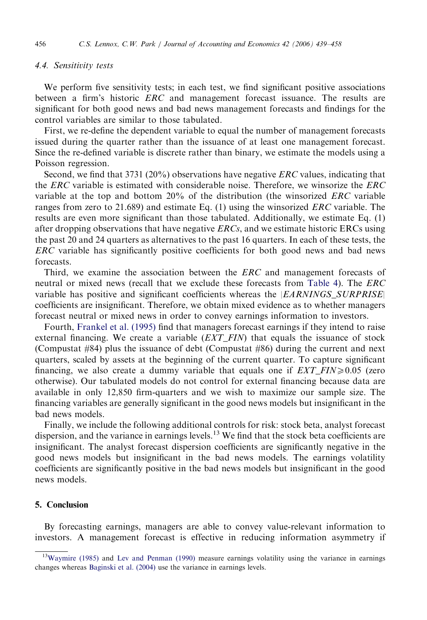#### 4.4. Sensitivity tests

We perform five sensitivity tests; in each test, we find significant positive associations between a firm's historic ERC and management forecast issuance. The results are significant for both good news and bad news management forecasts and findings for the control variables are similar to those tabulated.

First, we re-define the dependent variable to equal the number of management forecasts issued during the quarter rather than the issuance of at least one management forecast. Since the re-defined variable is discrete rather than binary, we estimate the models using a Poisson regression.

Second, we find that 3731 (20%) observations have negative ERC values, indicating that the ERC variable is estimated with considerable noise. Therefore, we winsorize the ERC variable at the top and bottom 20% of the distribution (the winsorized ERC variable ranges from zero to 21.689) and estimate Eq. (1) using the winsorized ERC variable. The results are even more significant than those tabulated. Additionally, we estimate Eq. (1) after dropping observations that have negative  $ERCs$ , and we estimate historic ERCs using the past 20 and 24 quarters as alternatives to the past 16 quarters. In each of these tests, the ERC variable has significantly positive coefficients for both good news and bad news forecasts.

Third, we examine the association between the ERC and management forecasts of neutral or mixed news (recall that we exclude these forecasts from [Table 4](#page-13-0)). The ERC variable has positive and significant coefficients whereas the *EARNINGS SURPRISE* coefficients are insignificant. Therefore, we obtain mixed evidence as to whether managers forecast neutral or mixed news in order to convey earnings information to investors.

Fourth, [Frankel et al. \(1995\)](#page-18-0) find that managers forecast earnings if they intend to raise external financing. We create a variable  $(EXTFIN)$  that equals the issuance of stock (Compustat #84) plus the issuance of debt (Compustat #86) during the current and next quarters, scaled by assets at the beginning of the current quarter. To capture significant financing, we also create a dummy variable that equals one if  $EXT$ *FIN* $\geq 0.05$  (zero otherwise). Our tabulated models do not control for external financing because data are available in only 12,850 firm-quarters and we wish to maximize our sample size. The financing variables are generally significant in the good news models but insignificant in the bad news models.

Finally, we include the following additional controls for risk: stock beta, analyst forecast dispersion, and the variance in earnings levels.<sup>13</sup> We find that the stock beta coefficients are insignificant. The analyst forecast dispersion coefficients are significantly negative in the good news models but insignificant in the bad news models. The earnings volatility coefficients are significantly positive in the bad news models but insignificant in the good news models.

# 5. Conclusion

By forecasting earnings, managers are able to convey value-relevant information to investors. A management forecast is effective in reducing information asymmetry if

<sup>&</sup>lt;sup>13</sup>Waymire (1985) and [Lev and Penman \(1990\)](#page-18-0) measure earnings volatility using the variance in earnings changes whereas [Baginski et al. \(2004\)](#page-18-0) use the variance in earnings levels.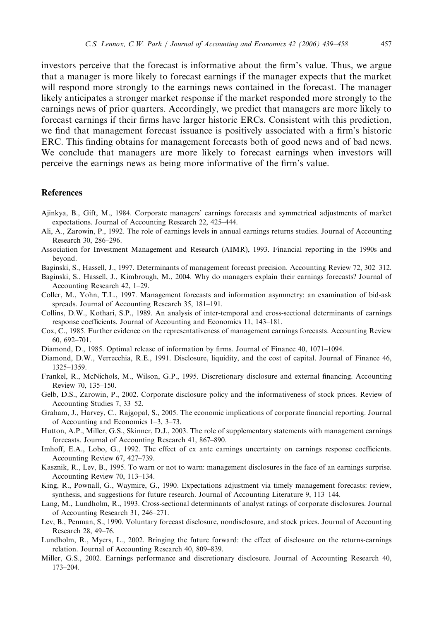<span id="page-18-0"></span>investors perceive that the forecast is informative about the firm's value. Thus, we argue that a manager is more likely to forecast earnings if the manager expects that the market will respond more strongly to the earnings news contained in the forecast. The manager likely anticipates a stronger market response if the market responded more strongly to the earnings news of prior quarters. Accordingly, we predict that managers are more likely to forecast earnings if their firms have larger historic ERCs. Consistent with this prediction, we find that management forecast issuance is positively associated with a firm's historic ERC. This finding obtains for management forecasts both of good news and of bad news. We conclude that managers are more likely to forecast earnings when investors will perceive the earnings news as being more informative of the firm's value.

# **References**

- Ajinkya, B., Gift, M., 1984. Corporate managers' earnings forecasts and symmetrical adjustments of market expectations. Journal of Accounting Research 22, 425–444.
- Ali, A., Zarowin, P., 1992. The role of earnings levels in annual earnings returns studies. Journal of Accounting Research 30, 286–296.
- Association for Investment Management and Research (AIMR), 1993. Financial reporting in the 1990s and beyond.
- Baginski, S., Hassell, J., 1997. Determinants of management forecast precision. Accounting Review 72, 302–312.
- Baginski, S., Hassell, J., Kimbrough, M., 2004. Why do managers explain their earnings forecasts? Journal of Accounting Research 42, 1–29.
- Coller, M., Yohn, T.L., 1997. Management forecasts and information asymmetry: an examination of bid-ask spreads. Journal of Accounting Research 35, 181–191.
- Collins, D.W., Kothari, S.P., 1989. An analysis of inter-temporal and cross-sectional determinants of earnings response coefficients. Journal of Accounting and Economics 11, 143–181.
- Cox, C., 1985. Further evidence on the representativeness of management earnings forecasts. Accounting Review 60, 692–701.
- Diamond, D., 1985. Optimal release of information by firms. Journal of Finance 40, 1071–1094.
- Diamond, D.W., Verrecchia, R.E., 1991. Disclosure, liquidity, and the cost of capital. Journal of Finance 46, 1325–1359.
- Frankel, R., McNichols, M., Wilson, G.P., 1995. Discretionary disclosure and external financing. Accounting Review 70, 135–150.
- Gelb, D.S., Zarowin, P., 2002. Corporate disclosure policy and the informativeness of stock prices. Review of Accounting Studies 7, 33–52.
- Graham, J., Harvey, C., Rajgopal, S., 2005. The economic implications of corporate financial reporting. Journal of Accounting and Economics 1–3, 3–73.
- Hutton, A.P., Miller, G.S., Skinner, D.J., 2003. The role of supplementary statements with management earnings forecasts. Journal of Accounting Research 41, 867–890.
- Imhoff, E.A., Lobo, G., 1992. The effect of ex ante earnings uncertainty on earnings response coefficients. Accounting Review 67, 427–739.
- Kasznik, R., Lev, B., 1995. To warn or not to warn: management disclosures in the face of an earnings surprise. Accounting Review 70, 113–134.
- King, R., Pownall, G., Waymire, G., 1990. Expectations adjustment via timely management forecasts: review, synthesis, and suggestions for future research. Journal of Accounting Literature 9, 113–144.
- Lang, M., Lundholm, R., 1993. Cross-sectional determinants of analyst ratings of corporate disclosures. Journal of Accounting Research 31, 246–271.
- Lev, B., Penman, S., 1990. Voluntary forecast disclosure, nondisclosure, and stock prices. Journal of Accounting Research 28, 49–76.
- Lundholm, R., Myers, L., 2002. Bringing the future forward: the effect of disclosure on the returns-earnings relation. Journal of Accounting Research 40, 809–839.
- Miller, G.S., 2002. Earnings performance and discretionary disclosure. Journal of Accounting Research 40, 173–204.